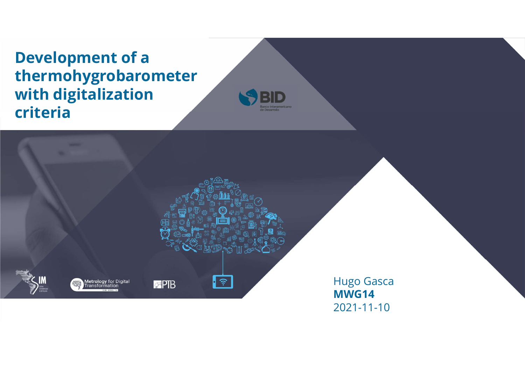## **Development of a**<br>thermohygrobarometer<br>with digitalization thermohygrobarometer Development of a<br>thermohygrobarometer<br>with digitalization<br>criteria criteria

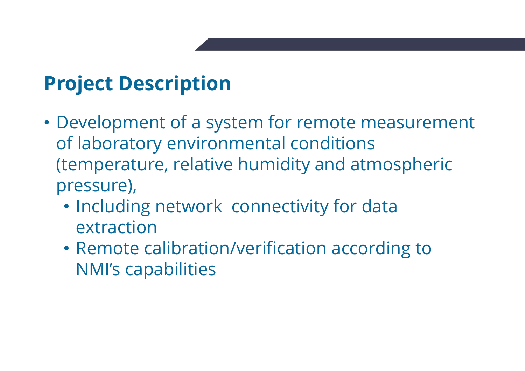### Project Description

- Project Description<br>• Development of a system for remote measurement<br>of laboratory environmental conditions<br>(temperature, relative humidity and atmospheric **roject Description**<br>Development of a system for remote measurement<br>of laboratory environmental conditions<br>(temperature, relative humidity and atmospheric<br>pressure), **roject Description**<br>
Development of a system for remote measurement<br>
of laboratory environmental conditions<br>
(temperature, relative humidity and atmospheric<br>
pressure),<br>
• Including network connectivity for data pressure), **oject Description**<br>• Nevelopment of a system for remote measurement<br>• flaboratory environmental conditions<br>• temperature, relative humidity and atmospheric<br>• including network connectivity for data<br>• Remote calibration/ve • Remote calibration of a system for remote measurement<br>Franchiever according temperature, relative humidity and atmospheric<br>pressure),<br>• Including network connectivity for data<br>extraction<br>• Remote calibration/verification expressions of a system for remulaboratory environmental condemperature, relative humidity and essure),<br>Including network connectivity<br>extraction<br>Remote calibration/verification<br>NMI's capabilities
	- extraction
	-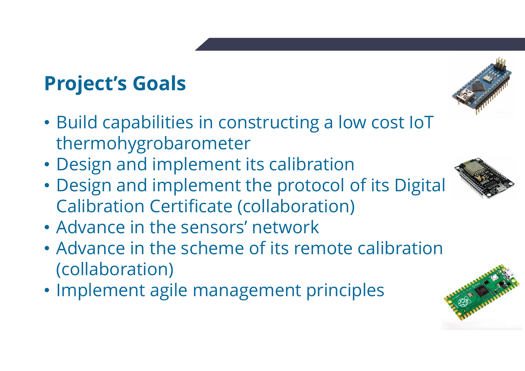- Project's Goals<br>• Build capabilities in constructing a Project's Goals<br>• Build capabilities in constructing a low cost IoT<br>• Design and implement its calibration thermohygrobarometer **Project's Goals<br>• Build capabilities in constructing a low cost loT<br>• Design and implement its calibration<br>• Design and implement the protocol of its Digital<br>• Calibration Certificate (collaboration)** Project's Goals<br>• Build capabilities in constructing a low cost let<br>thermohygrobarometer<br>• Design and implement its calibration<br>• Design and implement the protocol of its Dig<br>Calibration Certificate (collaboration)<br>• Advan
- 
- **Project's Goals<br>• Build capabilities in constructing a low cost loT<br>• Design and implement its calibration<br>• Design and implement the protocol of its Digital<br>• Calibration Certificate (collaboration)<br>• Advance in the sens roject's Goals**<br>Build capabilities in constructing a low cost loT<br>thermohygrobarometer<br>Design and implement its calibration<br>Design and implement the protocol of its Digita<br>Calibration Certificate (collaboration)<br>Advance i
- 
- Build capabilities in constructing a low cost loT<br>
 Design and implement its calibration<br>
 Design and implement the protocol of its Digital<br>
 Calibration Certificate (collaboration)<br>
 Advance in the sensors' network<br> (collaboration) thermohygrobarometer<br>
• Design and implement its calibration<br>
• Design and implement the protocol of its Digital<br>
• Calibration Certificate (collaboration)<br>
• Advance in the scheme of its remote calibration<br>
• Implement ag
- 





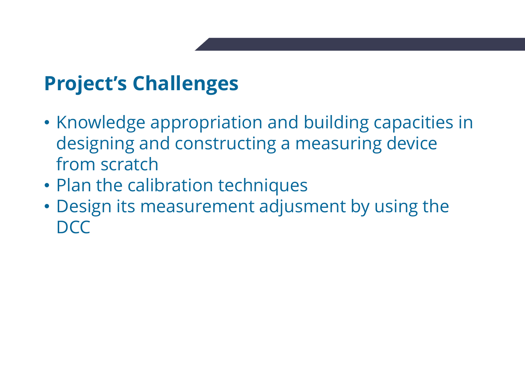- Project's Challenges<br>• Knowledge appropriation and build **Project's Challenges**<br>• Knowledge appropriation and building capacities in<br>designing and constructing a measuring device<br>from scratch **roject's Challenges**<br>Knowledge appropriation and building capacities in<br>designing and constructing a measuring device<br>from scratch<br>Plan the calibration techniques **roject's Challenges**<br>
Knowledge appropriation and<br>
designing and constructing a n<br>
from scratch<br>
Plan the calibration techniques<br>
Design its measurement adjus **Project's Challenges<br>• Knowledge appropriation and building capaci<br>designing and constructing a measuring deviation scratch<br>• Plan the calibration techniques<br>• Design its measurement adjusment by using<br>DCC Project's Challenges**<br>• Knowledge appropriation and building capacities in<br>designing and constructing a measuring device<br>from scratch<br>• Plan the calibration techniques<br>• Design its measurement adjusment by using the<br>DCC
- 
- DCC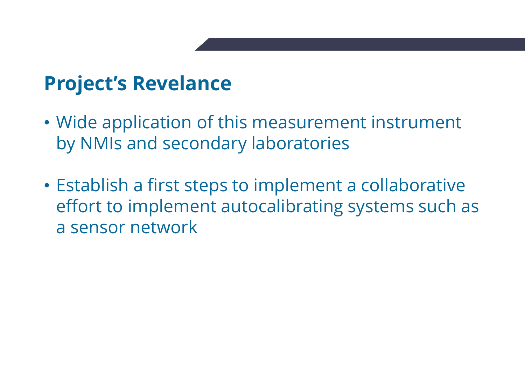- Project's Revelance<br>• Wide application of this measurem Project's Revelance<br>• Wide application of this measurement instrument<br>by NMIs and secondary laboratories **roject's Revelance**<br>Wide application of this measurement instrumen<br>by NMIs and secondary laboratories<br>Establish a first steps to implement a collaborativ
- Project's Revelance<br>• Wide application of this measurement instrument<br>by NMIs and secondary laboratories<br>• Establish a first steps to implement a collaborative<br>effort to implement autocalibrating systems such as<br>a sensor n **roject's Revelance**<br>Wide application of this measurement instrument<br>by NMIs and secondary laboratories<br>Establish a first steps to implement a collaborative<br>effort to implement autocalibrating systems such as<br>a sensor netw a sensor network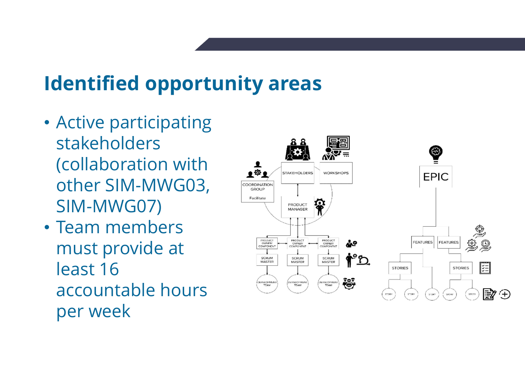# **Identified opportunity areas**<br>• Active participating

- Active participating stakeholders dentified opportunity areas<br>Active participating<br>stakeholders<br>(collaboration with<br>other SIM-MWG03, **dentified opportunity area**<br>Active participating<br>stakeholders<br>(collaboration with<br>other SIM-MWG03,<br>SIM-MWG07)<br>Team members SIM-MWG07) **Identified opportunity area**<br>
• Active participating<br>
stakeholders<br>
(collaboration with<br>
other SIM-MWG03,<br>
SIM-MWG07)<br>
• Team members<br>
must provide at<br>
least 16 Active participating<br>
stakeholders<br>
(collaboration with<br>
other SIM-MWG03,<br>
SIM-MWG07)<br>
Team members<br>
must provide at<br>
least 16<br>
accountable hours<br>
per week
- per week

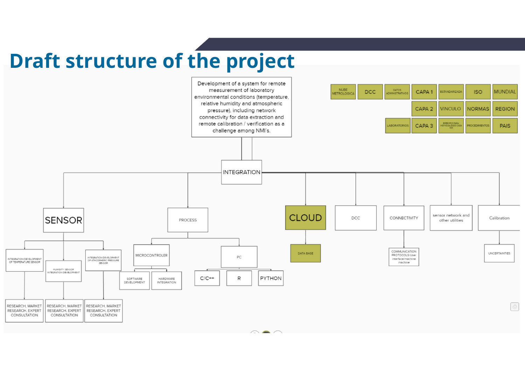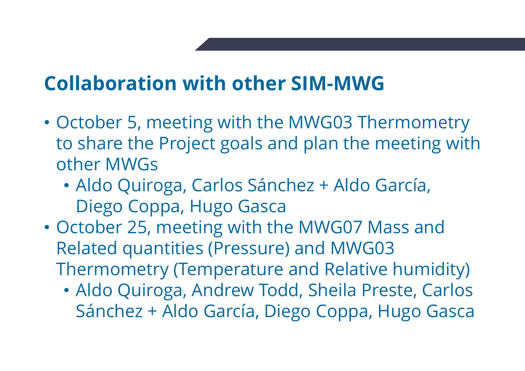- **Collaboration with other SIM-MWG**<br>• October 5, meeting with the MWG03 Thermometry **Collaboration with other SIM-MWG<br>• October 5, meeting with the MWG03 Thermometry<br>to share the Project goals and plan the meeting with<br>other MWGs ollaboration with other SIM-MWG**<br>October 5, meeting with the MWG03 Thermometry<br>to share the Project goals and plan the meeting with<br>other MWGs<br>• Aldo Quiroga, Carlos Sánchez + Aldo García, **ollaboration with other SI**<br>October 5, meeting with the MV<br>to share the Project goals and p<br>other MWGs<br>• Aldo Quiroga, Carlos Sánchez<br>Diego Coppa, Hugo Gasca **Collaboration with other SIM-MWG**<br>
• October 5, meeting with the MWG03 Thermometry<br>
to share the Project goals and plan the meeting with<br>
other MWGs<br>
• Aldo Quiroga, Carlos Sánchez + Aldo García,<br>
Diego Coppa, Hugo Gasca<br> October 5, meeting with the MWG03 Thermome<br>to share the Project goals and plan the meeting<br>other MWGs<br>• Aldo Quiroga, Carlos Sánchez + Aldo García,<br>Diego Coppa, Hugo Gasca<br>October 25, meeting with the MWG07 Mass and<br>Relate October 5, meeting with the MWG03 Thermometry<br>to share the Project goals and plan the meeting with<br>other MWGs<br>• Aldo Quiroga, Carlos Sánchez + Aldo García,<br>Diego Coppa, Hugo Gasca<br>October 25, meeting with the MWG07 Mass an
	- Aldo Quiroga, Carlos Sánchez + Aldo García, Diego Coppa, Hugo Gasca
- - Aldo Quiroga, Andrew Todd, Sheila Preste, Carlos Sánchez + Aldo García, Diego Coppa, Hugo Gasca